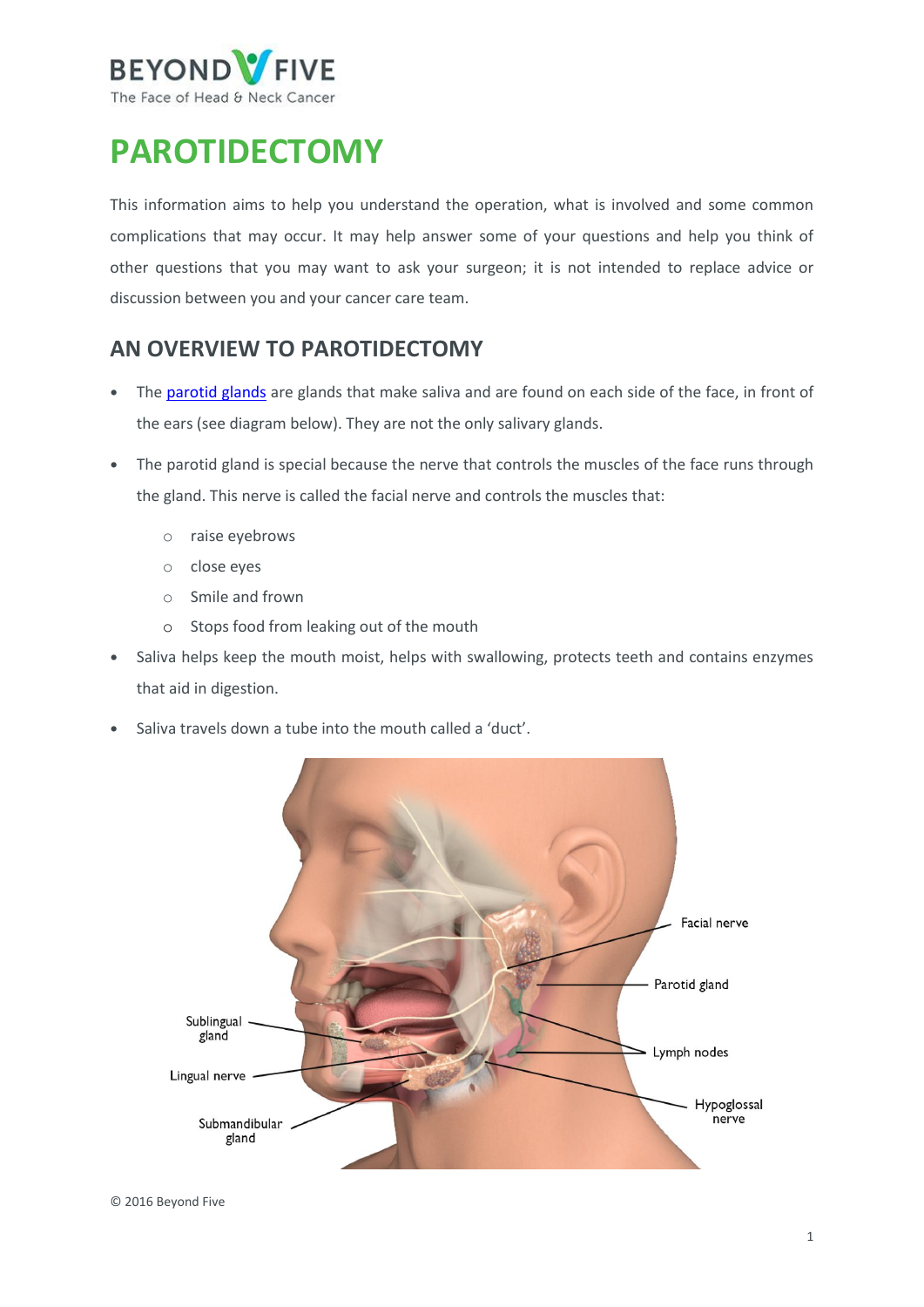

# **PAROTIDECTOMY**

This information aims to help you understand the operation, what is involved and some common complications that may occur. It may help answer some of your questions and help you think of other questions that you may want to ask your surgeon; it is not intended to replace advice or discussion between you and your cancer care team.

# **AN OVERVIEW TO PAROTIDECTOMY**

- **•** The [parotid glands](https://beyondfive.org.au/Types/Salivary-gland-cancer/Overview.aspx) are glands that make saliva and are found on each side of the face, in front of the ears (see diagram below). They are not the only salivary glands.
- **•** The parotid gland is special because the nerve that controls the muscles of the face runs through the gland. This nerve is called the facial nerve and controls the muscles that:
	- o raise eyebrows
	- o close eyes
	- o Smile and frown
	- o Stops food from leaking out of the mouth
- **•** Saliva helps keep the mouth moist, helps with swallowing, protects teeth and contains enzymes that aid in digestion.
- **•** Saliva travels down a tube into the mouth called a 'duct'.

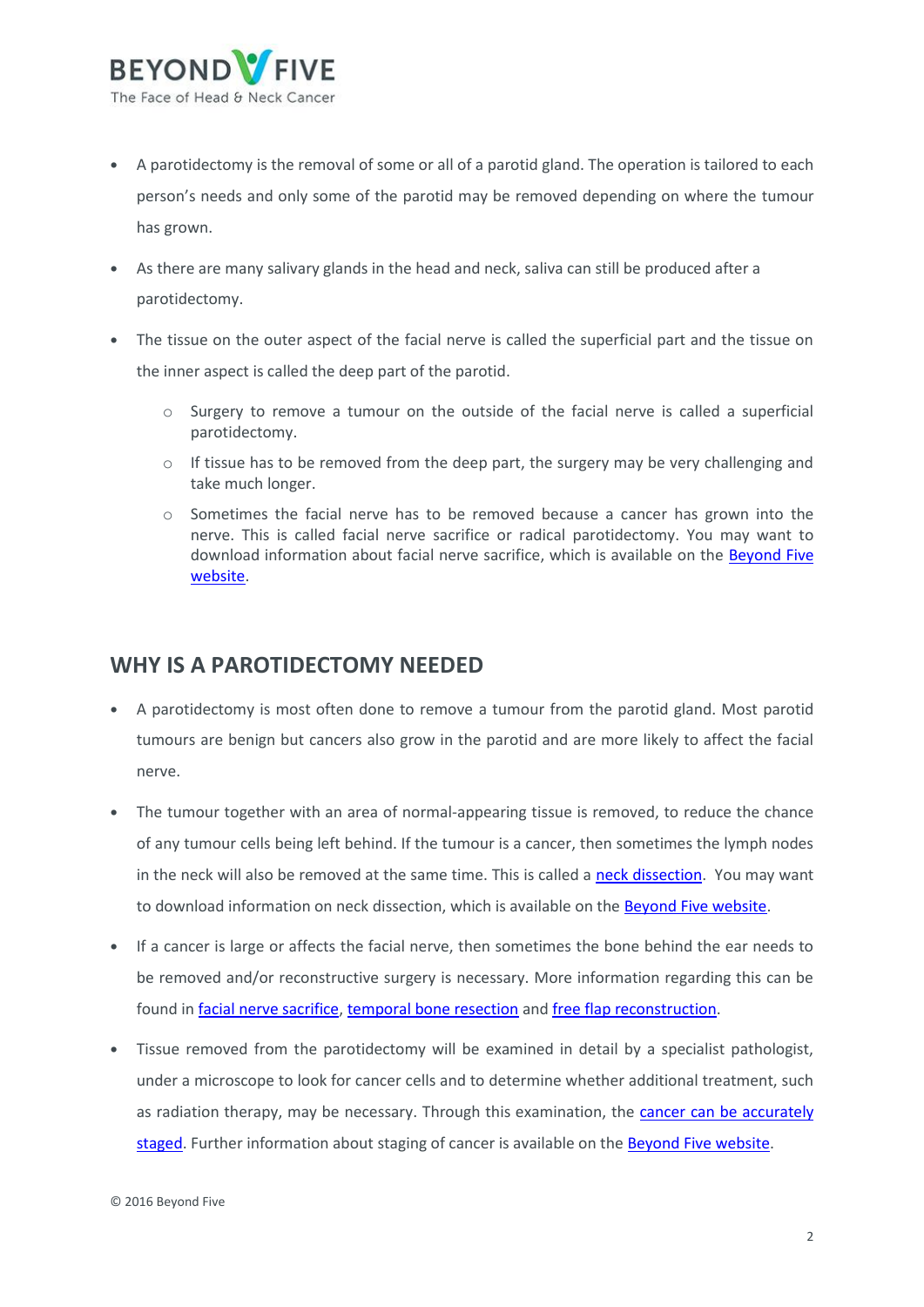

- **•** A parotidectomy is the removal of some or all of a parotid gland. The operation is tailored to each person's needs and only some of the parotid may be removed depending on where the tumour has grown.
- **•** As there are many salivary glands in the head and neck, saliva can still be produced after a parotidectomy.
- **•** The tissue on the outer aspect of the facial nerve is called the superficial part and the tissue on the inner aspect is called the deep part of the parotid.
	- o Surgery to remove a tumour on the outside of the facial nerve is called a superficial parotidectomy.
	- $\circ$  If tissue has to be removed from the deep part, the surgery may be very challenging and take much longer.
	- o Sometimes the facial nerve has to be removed because a cancer has grown into the nerve. This is called facial nerve sacrifice or radical parotidectomy. You may want to download information about facial nerve sacrifice, which is available on the Beyond Five [website.](http://www.beyondfive.org.au/)

### **WHY IS A PAROTIDECTOMY NEEDED**

- **•** A parotidectomy is most often done to remove a tumour from the parotid gland. Most parotid tumours are benign but cancers also grow in the parotid and are more likely to affect the facial nerve.
- **•** The tumour together with an area of normal-appearing tissue is removed, to reduce the chance of any tumour cells being left behind. If the tumour is a cancer, then sometimes the lymph nodes in the neck will also be removed at the same time. This is called a [neck dissection.](/getmedia/82225bb5-4305-42a2-a59c-276801f348bf/Beyond-Five-Neck-Dissection-FINAL-PDF-290317.aspx) You may want to download information on neck dissection, which is available on the [Beyond Five website.](http://www.beyondfive.org.au/)
- **•** If a cancer is large or affects the facial nerve, then sometimes the bone behind the ear needs to be removed and/or reconstructive surgery is necessary. More information regarding this can be found i[n facial nerve sacrifice,](/getmedia/efccffe8-b6ca-4af8-bba1-1de6a130eca9/Beyond-Five-Facial-nerve-FINAL-PDF-211016.aspx) [temporal bone resection](/getmedia/c4b8843f-de50-4872-b8ca-5f80e522fcd5/Beyond-Five-Lateral-Temporal-Bone-FINAL-PDF.aspx) and [free flap reconstruction.](/getmedia/2c77c17c-fe9b-4450-bbf0-46c940b8f565/Beyond-Five-Soft-tissue-free-flap-FINAL-PDF-241016.aspx)
- **•** Tissue removed from the parotidectomy will be examined in detail by a specialist pathologist, under a microscope to look for cancer cells and to determine whether additional treatment, such as radiation therapy, may be necessary. Through this examination, the cancer can be accurately [staged.](https://www.beyondfive.org.au/Diagnosis/Understanding-diagnosis/Staging-and-grading.aspx) Further information about staging of cancer is available on the [Beyond Five website.](http://www.beyondfive.org.au/)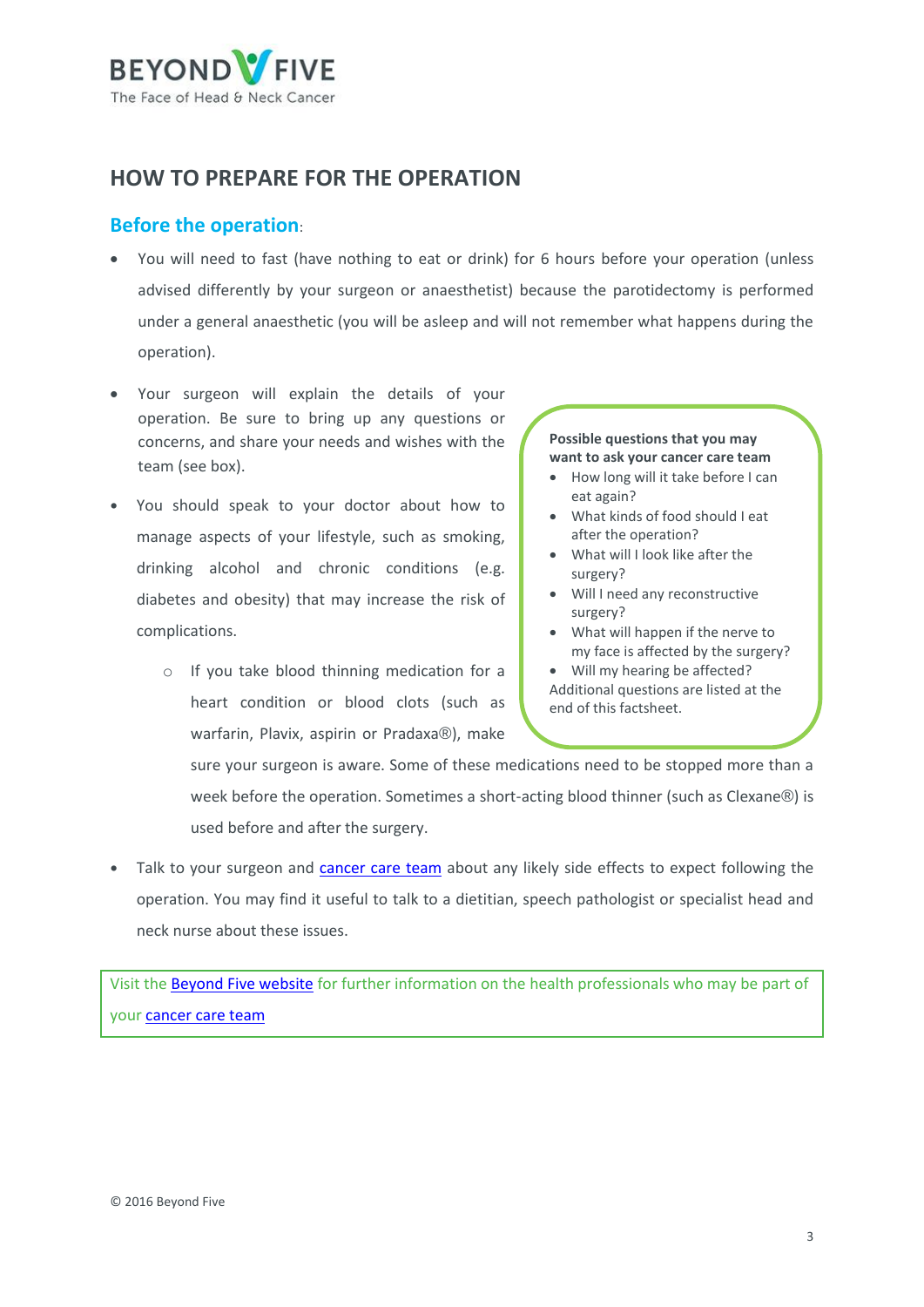

### **HOW TO PREPARE FOR THE OPERATION**

#### **Before the operation**:

- You will need to fast (have nothing to eat or drink) for 6 hours before your operation (unless advised differently by your surgeon or anaesthetist) because the parotidectomy is performed under a general anaesthetic (you will be asleep and will not remember what happens during the operation).
- Your surgeon will explain the details of your operation. Be sure to bring up any questions or concerns, and share your needs and wishes with the team (see box).
- **•** You should speak to your doctor about how to manage aspects of your lifestyle, such as smoking, drinking alcohol and chronic conditions (e.g. diabetes and obesity) that may increase the risk of complications.
	- o If you take blood thinning medication for a heart condition or blood clots (such as warfarin, Plavix, aspirin or Pradaxa®), make

**Possible questions that you may want to ask your cancer care team** 

- How long will it take before I can eat again?
- What kinds of food should I eat after the operation?
- What will I look like after the surgery?
- Will I need any reconstructive surgery?
- What will happen if the nerve to my face is affected by the surgery?
- Will my hearing be affected? Additional questions are listed at the end of this factsheet.

sure your surgeon is aware. Some of these medications need to be stopped more than a week before the operation. Sometimes a short-acting blood thinner (such as Clexane®) is used before and after the surgery.

**•** Talk to your surgeon and [cancer care team](https://beyondfive.org.au/Diagnosis/The-cancer-care-team.aspx) about any likely side effects to expect following the operation. You may find it useful to talk to a dietitian, speech pathologist or specialist head and neck nurse about these issues.

Visit the **Beyond Five website** for further information on the health professionals who may be part of your [cancer care team](https://beyondfive.org.au/Diagnosis/The-cancer-care-team.aspx)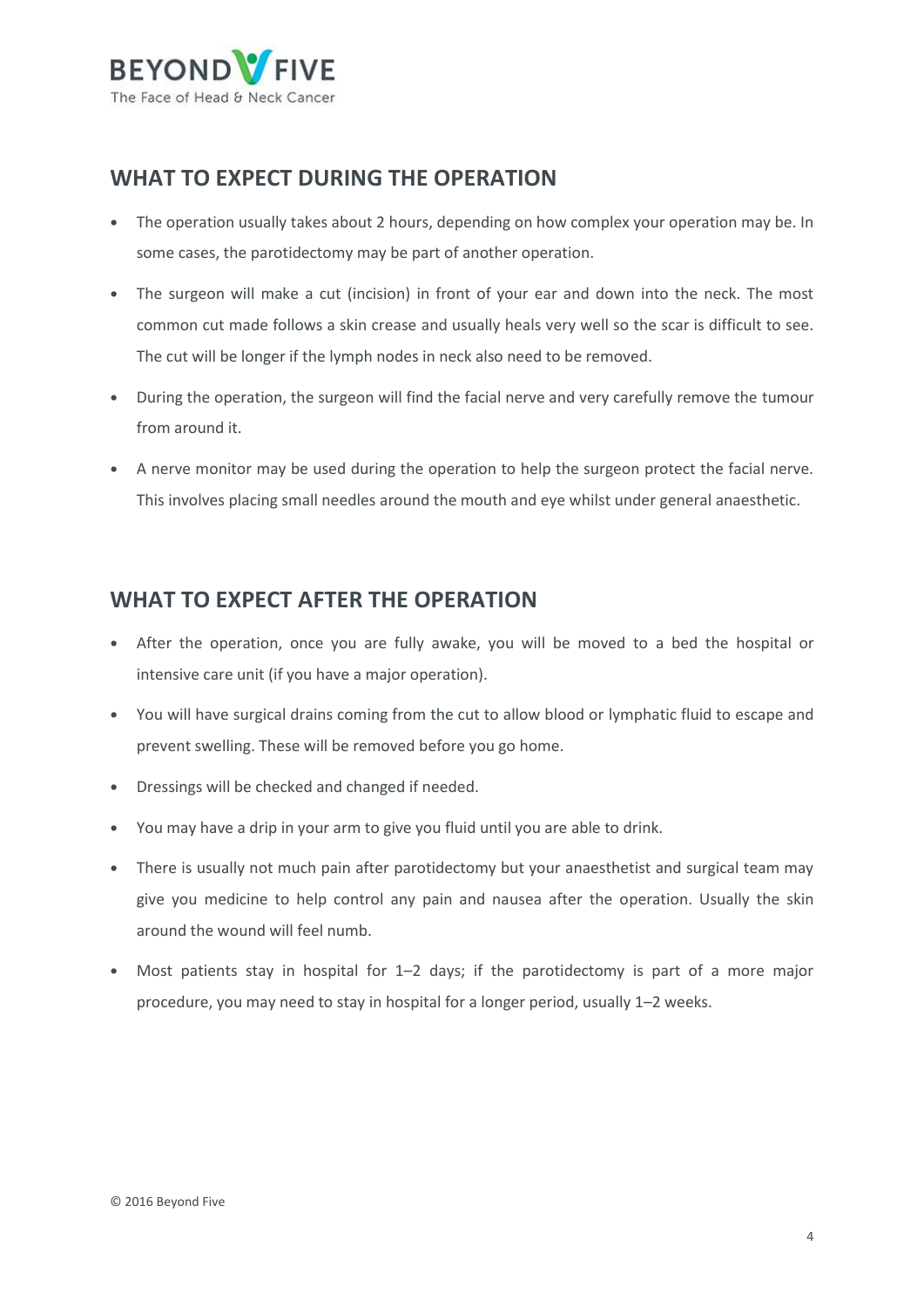

# **WHAT TO EXPECT DURING THE OPERATION**

- **•** The operation usually takes about 2 hours, depending on how complex your operation may be. In some cases, the parotidectomy may be part of another operation.
- **•** The surgeon will make a cut (incision) in front of your ear and down into the neck. The most common cut made follows a skin crease and usually heals very well so the scar is difficult to see. The cut will be longer if the lymph nodes in neck also need to be removed.
- **•** During the operation, the surgeon will find the facial nerve and very carefully remove the tumour from around it.
- **•** A nerve monitor may be used during the operation to help the surgeon protect the facial nerve. This involves placing small needles around the mouth and eye whilst under general anaesthetic.

# **WHAT TO EXPECT AFTER THE OPERATION**

- **•** After the operation, once you are fully awake, you will be moved to a bed the hospital or intensive care unit (if you have a major operation).
- **•** You will have surgical drains coming from the cut to allow blood or lymphatic fluid to escape and prevent swelling. These will be removed before you go home.
- **•** Dressings will be checked and changed if needed.
- **•** You may have a drip in your arm to give you fluid until you are able to drink.
- **•** There is usually not much pain after parotidectomy but your anaesthetist and surgical team may give you medicine to help control any pain and nausea after the operation. Usually the skin around the wound will feel numb.
- **•** Most patients stay in hospital for 1–2 days; if the parotidectomy is part of a more major procedure, you may need to stay in hospital for a longer period, usually 1–2 weeks.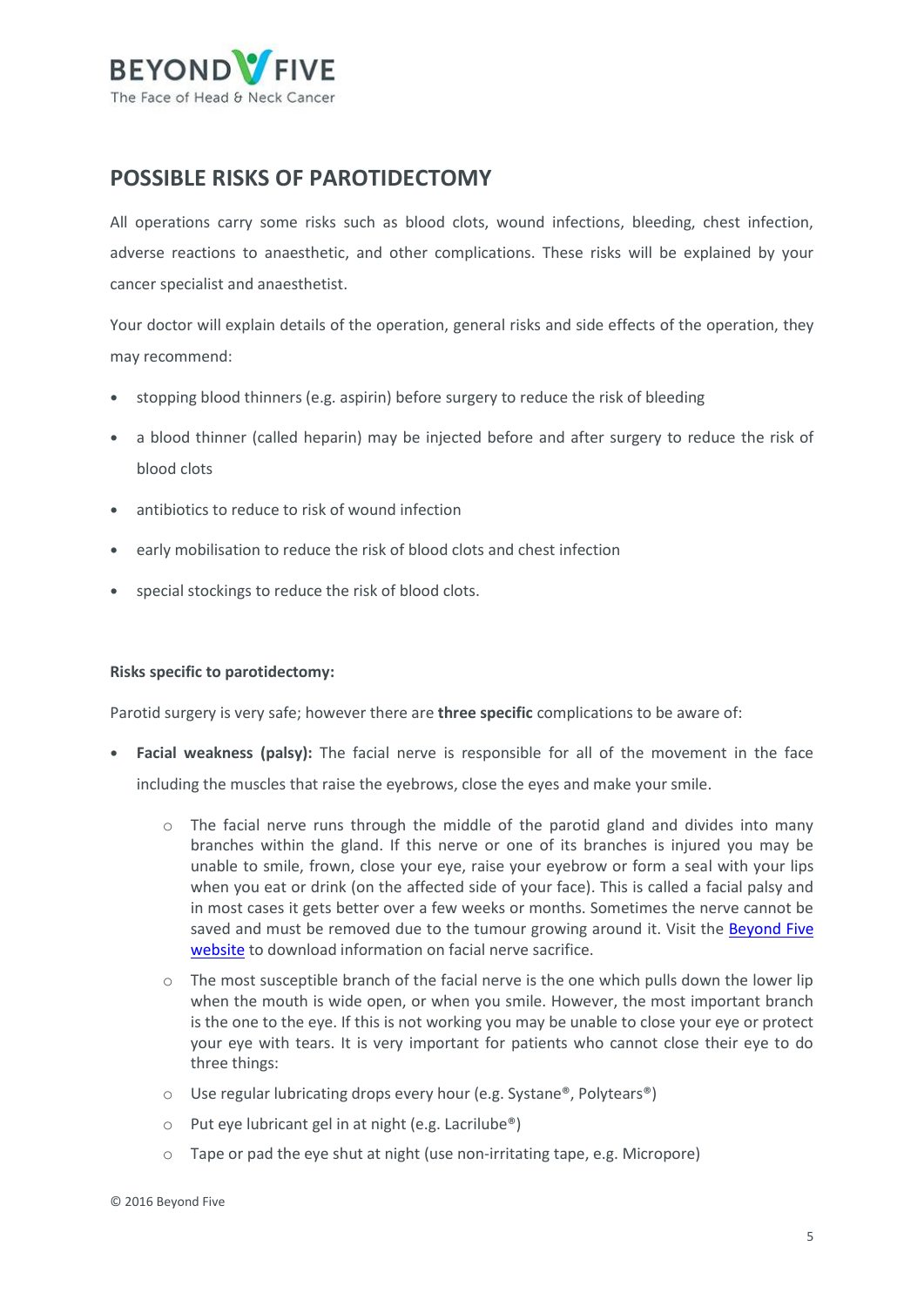

# **POSSIBLE RISKS OF PAROTIDECTOMY**

All operations carry some risks such as blood clots, wound infections, bleeding, chest infection, adverse reactions to anaesthetic, and other complications. These risks will be explained by your cancer specialist and anaesthetist.

Your doctor will explain details of the operation, general risks and side effects of the operation, they may recommend:

- **•** stopping blood thinners (e.g. aspirin) before surgery to reduce the risk of bleeding
- **•** a blood thinner (called heparin) may be injected before and after surgery to reduce the risk of blood clots
- **•** antibiotics to reduce to risk of wound infection
- **•** early mobilisation to reduce the risk of blood clots and chest infection
- **•** special stockings to reduce the risk of blood clots.

#### **Risks specific to parotidectomy:**

Parotid surgery is very safe; however there are **three specific** complications to be aware of:

- **• Facial weakness (palsy):** The facial nerve is responsible for all of the movement in the face including the muscles that raise the eyebrows, close the eyes and make your smile.
	- o The facial nerve runs through the middle of the parotid gland and divides into many branches within the gland. If this nerve or one of its branches is injured you may be unable to smile, frown, close your eye, raise your eyebrow or form a seal with your lips when you eat or drink (on the affected side of your face). This is called a facial palsy and in most cases it gets better over a few weeks or months. Sometimes the nerve cannot be saved and must be removed due to the tumour growing around it. Visit the **Beyond Five** [website](http://www.beyondfive.org.au/) to download information on facial nerve sacrifice.
	- $\circ$  The most susceptible branch of the facial nerve is the one which pulls down the lower lip when the mouth is wide open, or when you smile. However, the most important branch is the one to the eye. If this is not working you may be unable to close your eye or protect your eye with tears. It is very important for patients who cannot close their eye to do three things:
	- o Use regular lubricating drops every hour (e.g. Systane®, Polytears®)
	- o Put eye lubricant gel in at night (e.g. Lacrilube®)
	- o Tape or pad the eye shut at night (use non-irritating tape, e.g. Micropore)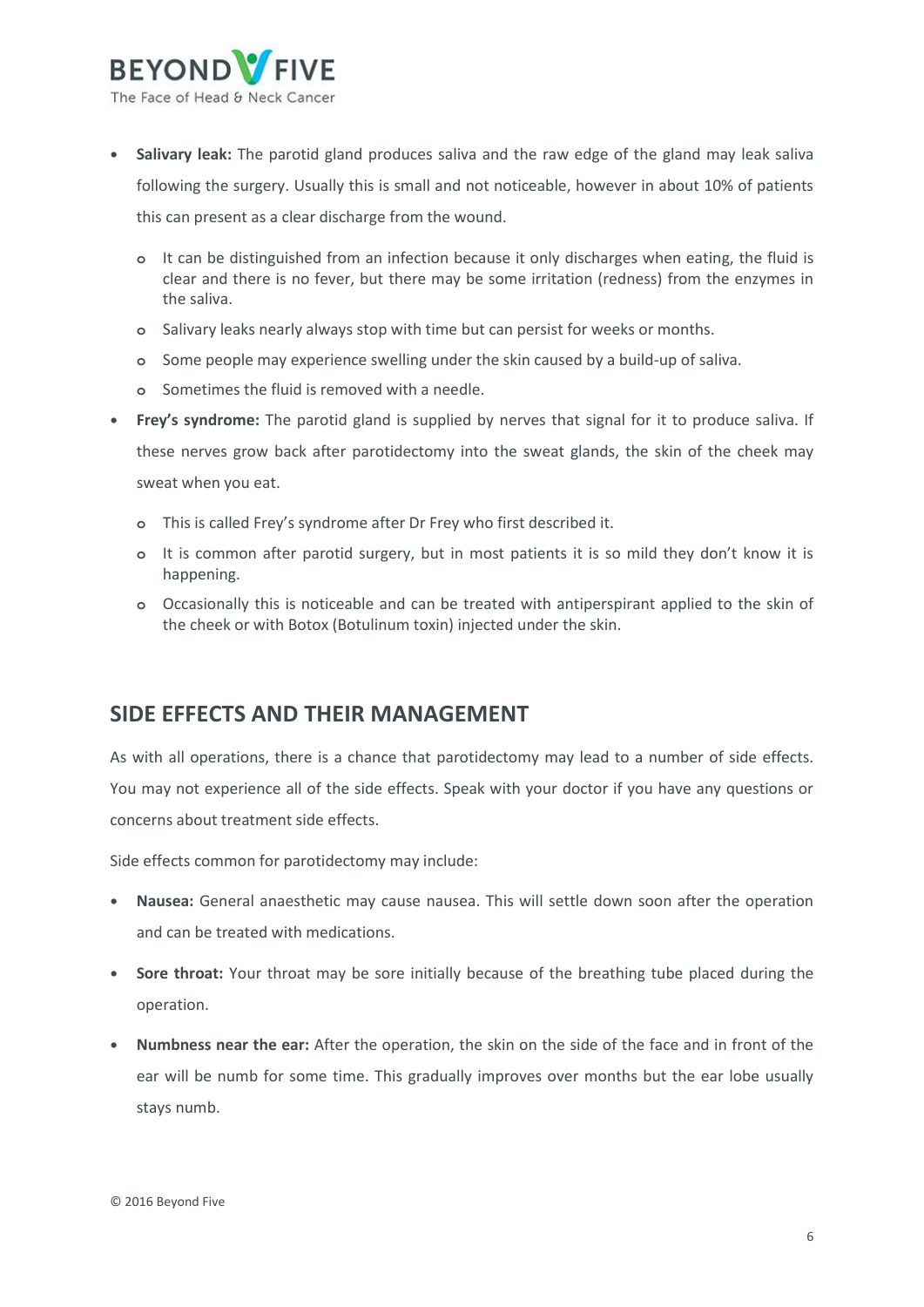

- **• Salivary leak:** The parotid gland produces saliva and the raw edge of the gland may leak saliva following the surgery. Usually this is small and not noticeable, however in about 10% of patients this can present as a clear discharge from the wound.
	- **o** It can be distinguished from an infection because it only discharges when eating, the fluid is clear and there is no fever, but there may be some irritation (redness) from the enzymes in the saliva.
	- **o** Salivary leaks nearly always stop with time but can persist for weeks or months.
	- **o** Some people may experience swelling under the skin caused by a build-up of saliva.
	- **o** Sometimes the fluid is removed with a needle.
- **• Frey's syndrome:** The parotid gland is supplied by nerves that signal for it to produce saliva. If these nerves grow back after parotidectomy into the sweat glands, the skin of the cheek may sweat when you eat.
	- **o** This is called Frey's syndrome after Dr Frey who first described it.
	- **o** It is common after parotid surgery, but in most patients it is so mild they don't know it is happening.
	- **o** Occasionally this is noticeable and can be treated with antiperspirant applied to the skin of the cheek or with Botox (Botulinum toxin) injected under the skin.

# **SIDE EFFECTS AND THEIR MANAGEMENT**

As with all operations, there is a chance that parotidectomy may lead to a number of side effects. You may not experience all of the side effects. Speak with your doctor if you have any questions or concerns about treatment side effects.

Side effects common for parotidectomy may include:

- **• Nausea:** General anaesthetic may cause nausea. This will settle down soon after the operation and can be treated with medications.
- **• Sore throat:** Your throat may be sore initially because of the breathing tube placed during the operation.
- **• Numbness near the ear:** After the operation, the skin on the side of the face and in front of the ear will be numb for some time. This gradually improves over months but the ear lobe usually stays numb.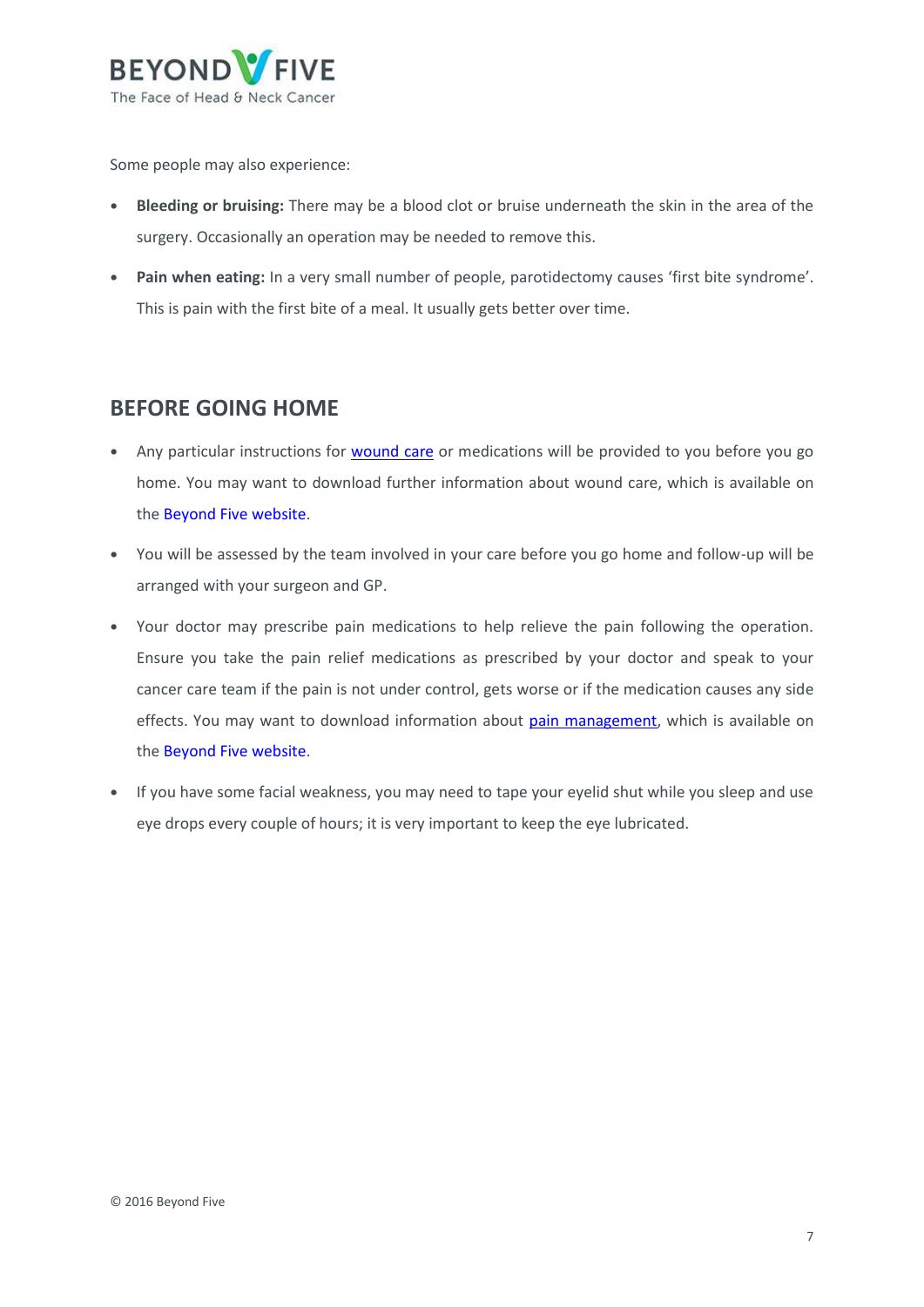

Some people may also experience:

- **• Bleeding or bruising:** There may be a blood clot or bruise underneath the skin in the area of the surgery. Occasionally an operation may be needed to remove this.
- **• Pain when eating:** In a very small number of people, parotidectomy causes 'first bite syndrome'. This is pain with the first bite of a meal. It usually gets better over time.

# **BEFORE GOING HOME**

- **•** Any particular instructions for [wound care](/getmedia/89a1c512-f762-4b76-a080-f8c1052b97b7/Beyond-Five-Wound-Care-Fact-Sheet.aspx) or medications will be provided to you before you go home. You may want to download further information about wound care, which is available on the [Beyond Five website.](http://www.beyondfive.org.au/)
- **•** You will be assessed by the team involved in your care before you go home and follow-up will be arranged with your surgeon and GP.
- **•** Your doctor may prescribe pain medications to help relieve the pain following the operation. Ensure you take the pain relief medications as prescribed by your doctor and speak to your cancer care team if the pain is not under control, gets worse or if the medication causes any side effects. You may want to download information about [pain management,](/getmedia/0bdd4cf4-94b2-49e5-bc9a-3e38e694d9c4/Beyond-Five-Pain-management.aspx) which is available on the [Beyond Five website.](http://www.beyondfive.org.au/)
- **•** If you have some facial weakness, you may need to tape your eyelid shut while you sleep and use eye drops every couple of hours; it is very important to keep the eye lubricated.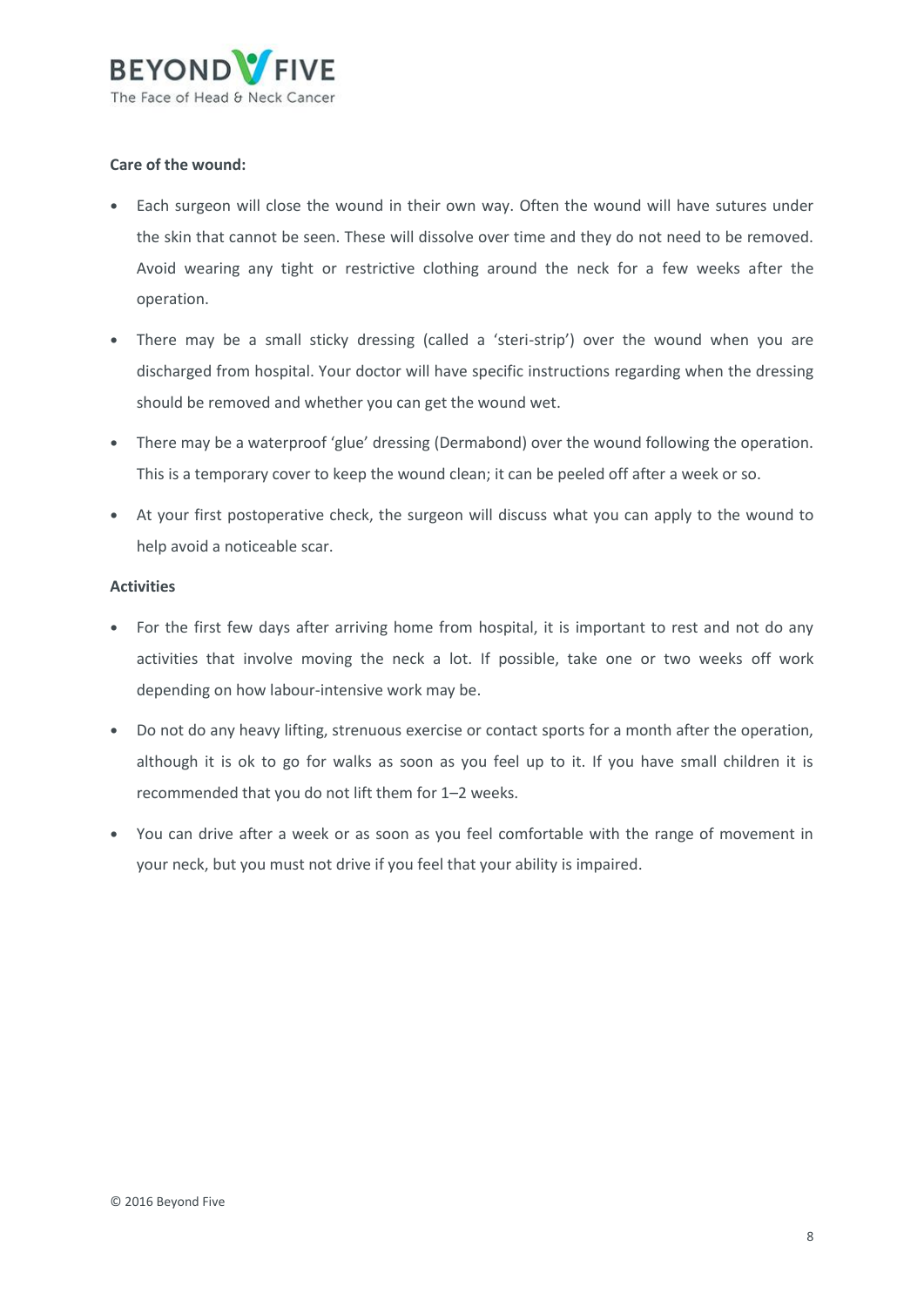

#### **Care of the wound:**

- **•** Each surgeon will close the wound in their own way. Often the wound will have sutures under the skin that cannot be seen. These will dissolve over time and they do not need to be removed. Avoid wearing any tight or restrictive clothing around the neck for a few weeks after the operation.
- **•** There may be a small sticky dressing (called a 'steri-strip') over the wound when you are discharged from hospital. Your doctor will have specific instructions regarding when the dressing should be removed and whether you can get the wound wet.
- **•** There may be a waterproof 'glue' dressing (Dermabond) over the wound following the operation. This is a temporary cover to keep the wound clean; it can be peeled off after a week or so.
- **•** At your first postoperative check, the surgeon will discuss what you can apply to the wound to help avoid a noticeable scar.

#### **Activities**

- **•** For the first few days after arriving home from hospital, it is important to rest and not do any activities that involve moving the neck a lot. If possible, take one or two weeks off work depending on how labour-intensive work may be.
- **•** Do not do any heavy lifting, strenuous exercise or contact sports for a month after the operation, although it is ok to go for walks as soon as you feel up to it. If you have small children it is recommended that you do not lift them for 1–2 weeks.
- **•** You can drive after a week or as soon as you feel comfortable with the range of movement in your neck, but you must not drive if you feel that your ability is impaired.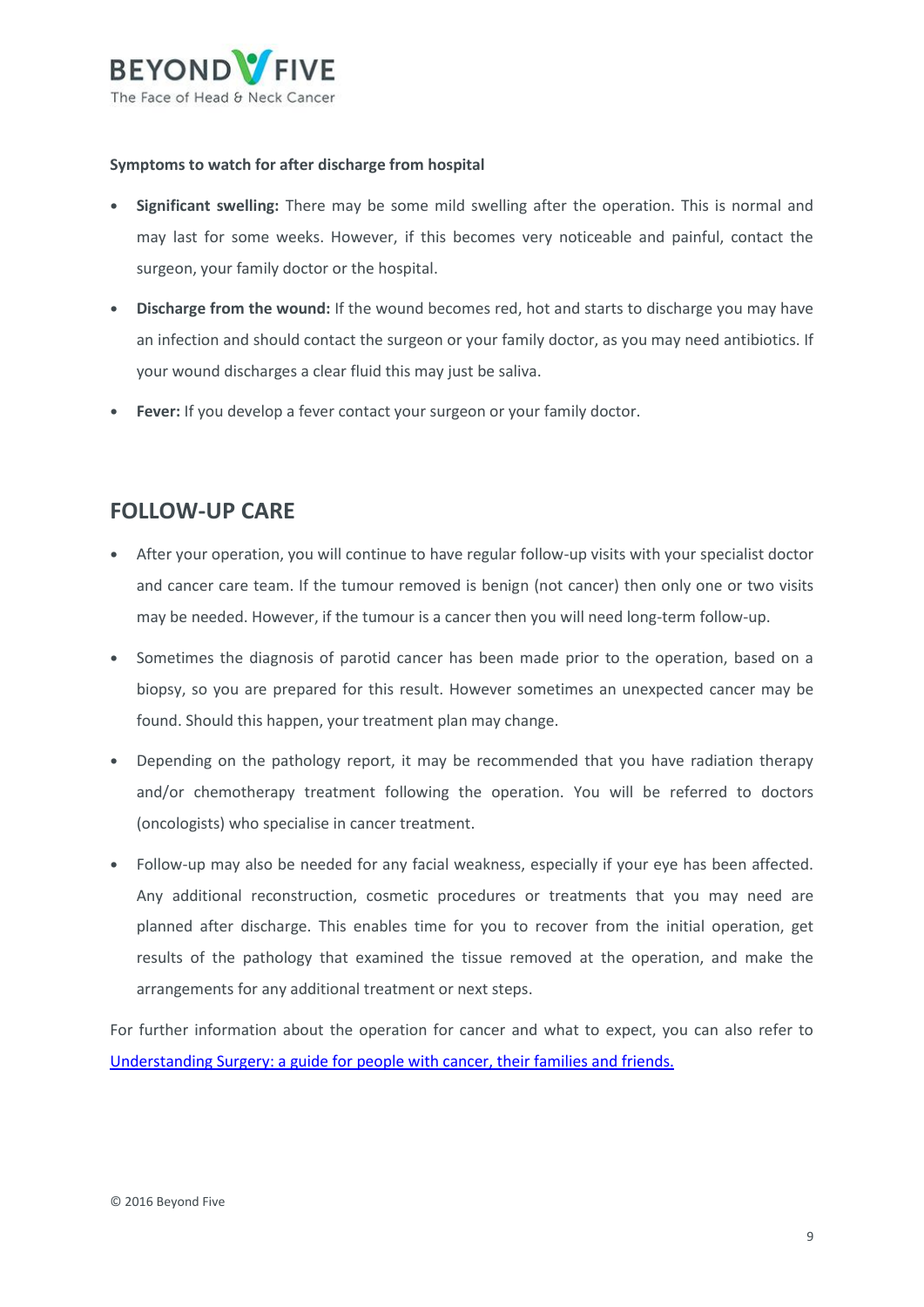

#### **Symptoms to watch for after discharge from hospital**

- **• Significant swelling:** There may be some mild swelling after the operation. This is normal and may last for some weeks. However, if this becomes very noticeable and painful, contact the surgeon, your family doctor or the hospital.
- **• Discharge from the wound:** If the wound becomes red, hot and starts to discharge you may have an infection and should contact the surgeon or your family doctor, as you may need antibiotics. If your wound discharges a clear fluid this may just be saliva.
- **• Fever:** If you develop a fever contact your surgeon or your family doctor.

### **FOLLOW-UP CARE**

- **•** After your operation, you will continue to have regular follow-up visits with your specialist doctor and cancer care team. If the tumour removed is benign (not cancer) then only one or two visits may be needed. However, if the tumour is a cancer then you will need long-term follow-up.
- **•** Sometimes the diagnosis of parotid cancer has been made prior to the operation, based on a biopsy, so you are prepared for this result. However sometimes an unexpected cancer may be found. Should this happen, your treatment plan may change.
- **•** Depending on the pathology report, it may be recommended that you have radiation therapy and/or chemotherapy treatment following the operation. You will be referred to doctors (oncologists) who specialise in cancer treatment.
- **•** Follow-up may also be needed for any facial weakness, especially if your eye has been affected. Any additional reconstruction, cosmetic procedures or treatments that you may need are planned after discharge. This enables time for you to recover from the initial operation, get results of the pathology that examined the tissue removed at the operation, and make the arrangements for any additional treatment or next steps.

For further information about the operation for cancer and what to expect, you can also refer to [Understanding Surgery: a guide for people with cancer, their families and friends.](http://www.cancer.org.au/content/about_cancer/treatment/Understanding-Surgery_booklet_April_2016.pdf)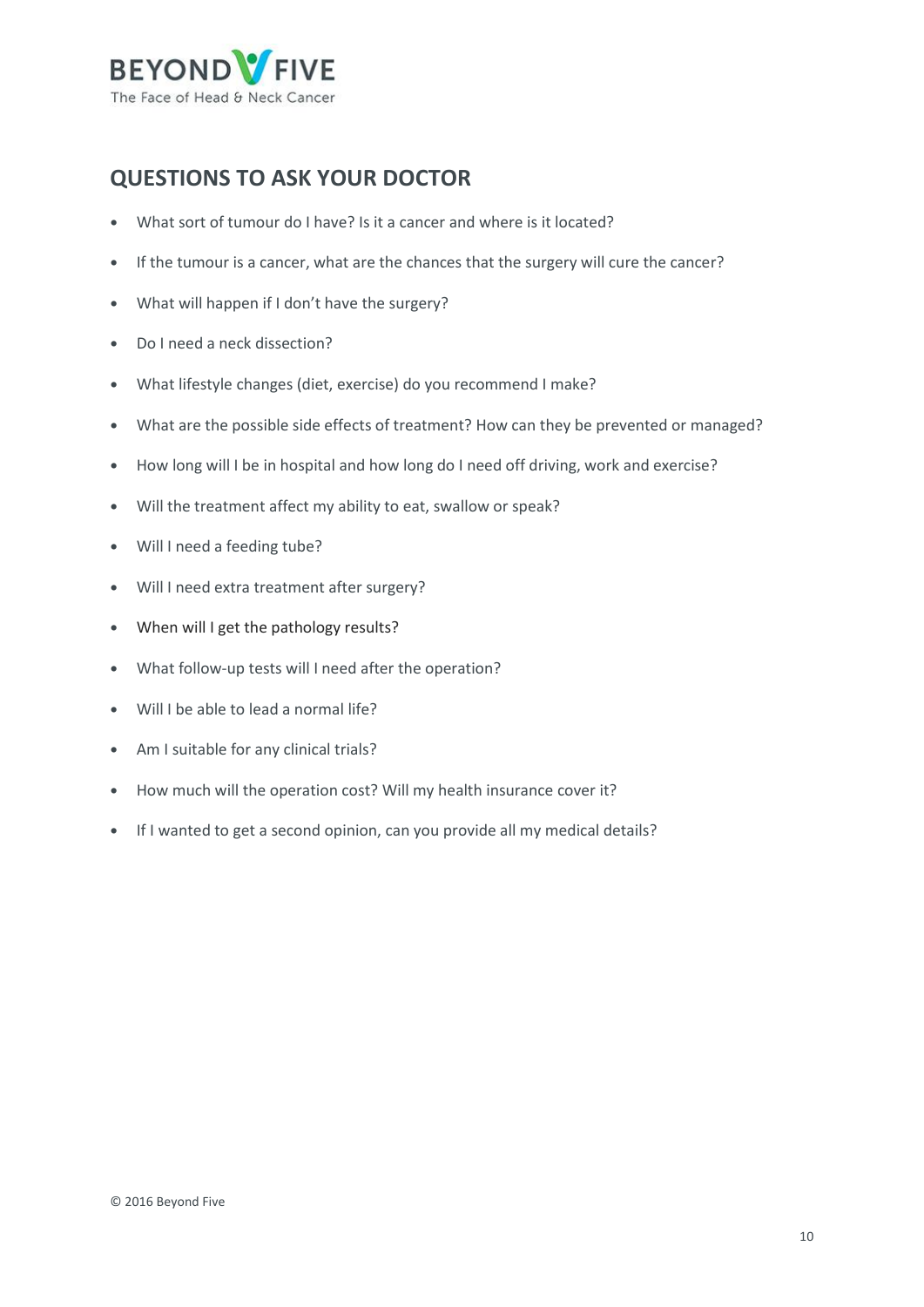

# **QUESTIONS TO ASK YOUR DOCTOR**

- **•** What sort of tumour do I have? Is it a cancer and where is it located?
- **•** If the tumour is a cancer, what are the chances that the surgery will cure the cancer?
- **•** What will happen if I don't have the surgery?
- **•** Do I need a neck dissection?
- **•** What lifestyle changes (diet, exercise) do you recommend I make?
- **•** What are the possible side effects of treatment? How can they be prevented or managed?
- **•** How long will I be in hospital and how long do I need off driving, work and exercise?
- **•** Will the treatment affect my ability to eat, swallow or speak?
- **•** Will I need a feeding tube?
- **•** Will I need extra treatment after surgery?
- **•** When will I get the pathology results?
- **•** What follow-up tests will I need after the operation?
- **•** Will I be able to lead a normal life?
- **•** Am I suitable for any clinical trials?
- **•** How much will the operation cost? Will my health insurance cover it?
- **•** If I wanted to get a second opinion, can you provide all my medical details?